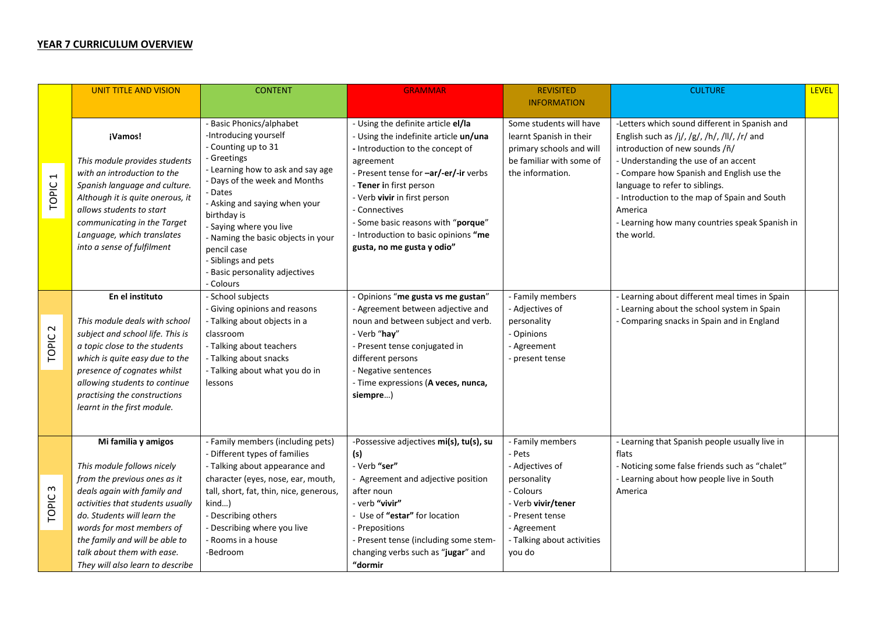## **YEAR 7 CURRICULUM OVERVIEW**

|                                          | <b>UNIT TITLE AND VISION</b>                                                                                                                                                                                                                                                                  | <b>CONTENT</b>                                                                                                                                                                                                                                                                                                                                                                 | <b>GRAMMAR</b>                                                                                                                                                                                                                                                                                                                                                | <b>REVISITED</b>                                                                                                                            | <b>CULTURE</b>                                                                                                                                                                                                                                                                                                                                                                    | <b>LEVEL</b> |
|------------------------------------------|-----------------------------------------------------------------------------------------------------------------------------------------------------------------------------------------------------------------------------------------------------------------------------------------------|--------------------------------------------------------------------------------------------------------------------------------------------------------------------------------------------------------------------------------------------------------------------------------------------------------------------------------------------------------------------------------|---------------------------------------------------------------------------------------------------------------------------------------------------------------------------------------------------------------------------------------------------------------------------------------------------------------------------------------------------------------|---------------------------------------------------------------------------------------------------------------------------------------------|-----------------------------------------------------------------------------------------------------------------------------------------------------------------------------------------------------------------------------------------------------------------------------------------------------------------------------------------------------------------------------------|--------------|
|                                          |                                                                                                                                                                                                                                                                                               |                                                                                                                                                                                                                                                                                                                                                                                |                                                                                                                                                                                                                                                                                                                                                               | <b>INFORMATION</b>                                                                                                                          |                                                                                                                                                                                                                                                                                                                                                                                   |              |
| $\overline{\phantom{0}}$<br><b>TOPIC</b> | ¡Vamos!<br>This module provides students<br>with an introduction to the<br>Spanish language and culture.<br>Although it is quite onerous, it<br>allows students to start<br>communicating in the Target<br>Language, which translates<br>into a sense of fulfilment                           | - Basic Phonics/alphabet<br>-Introducing yourself<br>- Counting up to 31<br>- Greetings<br>- Learning how to ask and say age<br>- Days of the week and Months<br>- Dates<br>- Asking and saying when your<br>birthday is<br>- Saying where you live<br>- Naming the basic objects in your<br>pencil case<br>- Siblings and pets<br>- Basic personality adjectives<br>- Colours | - Using the definite article el/la<br>- Using the indefinite article un/una<br>- Introduction to the concept of<br>agreement<br>- Present tense for -ar/-er/-ir verbs<br>- Tener in first person<br>- Verb vivir in first person<br>- Connectives<br>- Some basic reasons with "porque"<br>- Introduction to basic opinions "me<br>gusta, no me gusta y odio" | Some students will have<br>learnt Spanish in their<br>primary schools and will<br>be familiar with some of<br>the information.              | -Letters which sound different in Spanish and<br>English such as /j/, /g/, /h/, /ll/, /r/ and<br>introduction of new sounds /ñ/<br>- Understanding the use of an accent<br>- Compare how Spanish and English use the<br>language to refer to siblings.<br>- Introduction to the map of Spain and South<br>America<br>- Learning how many countries speak Spanish in<br>the world. |              |
|                                          | En el instituto                                                                                                                                                                                                                                                                               | - School subjects<br>- Giving opinions and reasons                                                                                                                                                                                                                                                                                                                             | - Opinions "me gusta vs me gustan"<br>- Agreement between adjective and                                                                                                                                                                                                                                                                                       | - Family members<br>- Adjectives of                                                                                                         | - Learning about different meal times in Spain<br>- Learning about the school system in Spain                                                                                                                                                                                                                                                                                     |              |
| $\sim$<br>TOPIC.                         | This module deals with school<br>subject and school life. This is<br>a topic close to the students<br>which is quite easy due to the<br>presence of cognates whilst<br>allowing students to continue<br>practising the constructions<br>learnt in the first module.                           | - Talking about objects in a<br>classroom<br>- Talking about teachers<br>- Talking about snacks<br>- Talking about what you do in<br>lessons                                                                                                                                                                                                                                   | noun and between subject and verb.<br>- Verb "hay"<br>- Present tense conjugated in<br>different persons<br>- Negative sentences<br>- Time expressions (A veces, nunca,<br>siempre)                                                                                                                                                                           | personality<br>- Opinions<br>- Agreement<br>- present tense                                                                                 | - Comparing snacks in Spain and in England                                                                                                                                                                                                                                                                                                                                        |              |
|                                          | Mi familia y amigos                                                                                                                                                                                                                                                                           | - Family members (including pets)<br>- Different types of families                                                                                                                                                                                                                                                                                                             | -Possessive adjectives mi(s), tu(s), su<br>(s)                                                                                                                                                                                                                                                                                                                | - Family members<br>- Pets                                                                                                                  | - Learning that Spanish people usually live in<br>flats                                                                                                                                                                                                                                                                                                                           |              |
| $\omega$<br><b>TOPIC</b>                 | This module follows nicely<br>from the previous ones as it<br>deals again with family and<br>activities that students usually<br>do. Students will learn the<br>words for most members of<br>the family and will be able to<br>talk about them with ease.<br>They will also learn to describe | - Talking about appearance and<br>character (eyes, nose, ear, mouth,<br>tall, short, fat, thin, nice, generous,<br>kind)<br>- Describing others<br>- Describing where you live<br>- Rooms in a house<br>-Bedroom                                                                                                                                                               | - Verb "ser"<br>- Agreement and adjective position<br>after noun<br>- verb "vivir"<br>- Use of "estar" for location<br>- Prepositions<br>- Present tense (including some stem-<br>changing verbs such as "jugar" and<br>"dormir                                                                                                                               | - Adjectives of<br>personality<br>- Colours<br>- Verb vivir/tener<br>- Present tense<br>- Agreement<br>- Talking about activities<br>you do | - Noticing some false friends such as "chalet"<br>- Learning about how people live in South<br>America                                                                                                                                                                                                                                                                            |              |